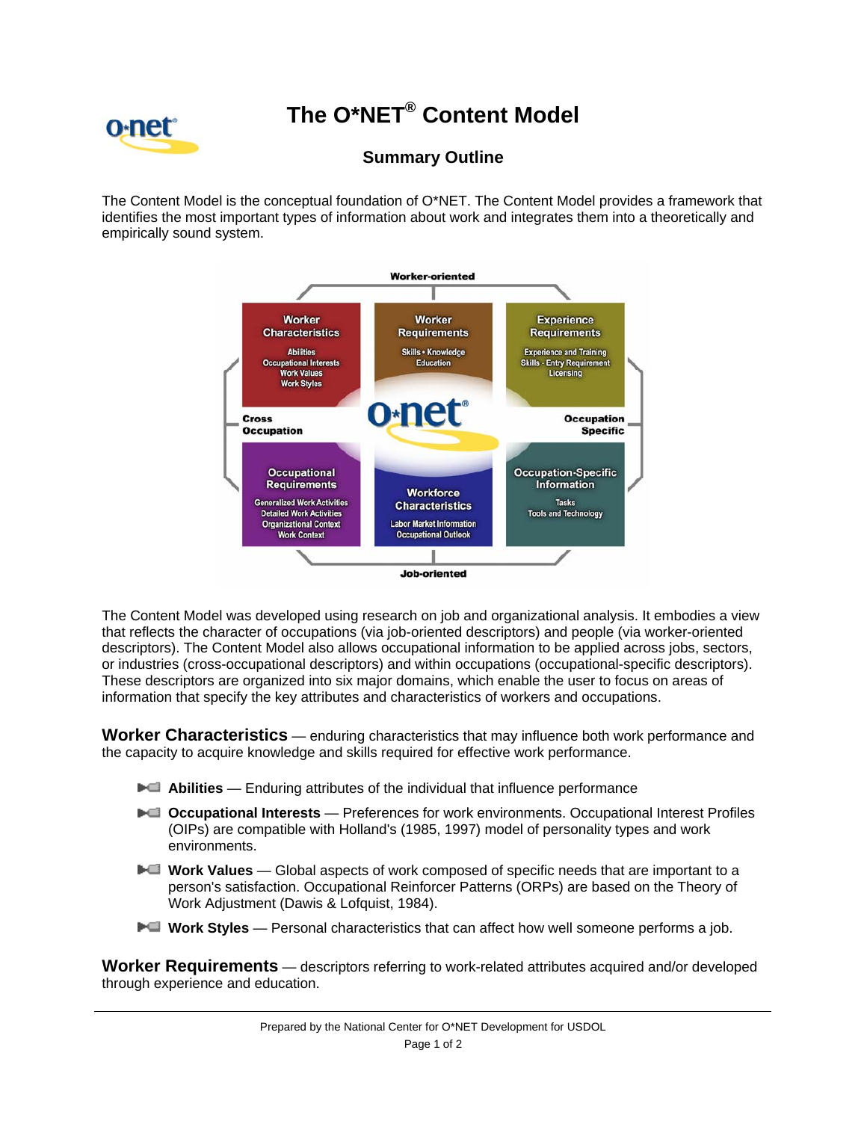## 0-net<sup>-</sup>

## **The O\*NET® Content Model**

## **Summary Outline**

The Content Model is the conceptual foundation of O\*NET. The Content Model provides a framework that identifies the most important types of information about work and integrates them into a theoretically and empirically sound system.



The Content Model was developed using research on job and organizational analysis. It embodies a view that reflects the character of occupations (via job-oriented descriptors) and people (via worker-oriented descriptors). The Content Model also allows occupational information to be applied across jobs, sectors, or industries (cross-occupational descriptors) and within occupations (occupational-specific descriptors). These descriptors are organized into six major domains, which enable the user to focus on areas of information that specify the key attributes and characteristics of workers and occupations.

**Worker Characteristics** — enduring characteristics that may influence both work performance and the capacity to acquire knowledge and skills required for effective work performance.

- **►■ Abilities** Enduring attributes of the individual that influence performance
- **►■ Occupational Interests** Preferences for work environments. Occupational Interest Profiles (OIPs) are compatible with Holland's (1985, 1997) model of personality types and work environments.
- **►■** Work Values Global aspects of work composed of specific needs that are important to a person's satisfaction. Occupational Reinforcer Patterns (ORPs) are based on the Theory of Work Adjustment (Dawis & Lofquist, 1984).
- **►■** Work Styles Personal characteristics that can affect how well someone performs a job.

**Worker Requirements** — descriptors referring to work-related attributes acquired and/or developed through experience and education.